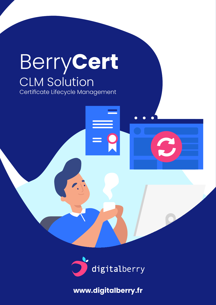# Berry**Cert**  CLM Solution Certificate Lifecycle Management

digitalberry

**www.digitalberry.fr**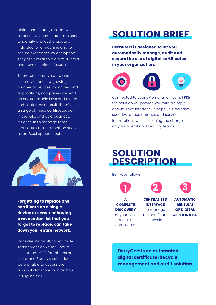Digital certificates, also known as public key certificates, are used to identify and authenticate an individual or a machine and to secure exchanges by encryption. They are similar to a digital ID card and have a limited lifespan.

To protect sensitive data and securely connect a growing number of devices, machines and applications, companies depend on cryptographic keys and digital certificates. As a result, there's a surge of these certificates out in the wild, and as a business, it's difficult to manage those certificates using a method such as an Excel spreadsheet.



**Forgetting to replace one certificate on a single device or server or having a revocation list that you forgot to replace, can take down your entire network.** 

Consider Microsoft, for example. Teams went down for 3 hours in February 2020 for millions of users, and Spotify's subscribers were unable to access their accounts for more than an hour in August 2020.

## **SOLUTION BRIEF**

**BerryCert is designed to let you automatically manage, audit and secure the use of digital certificates in your organization.**



Connected to your external and internal PKIs, the solution will provide you with a simple and intuitive interface. It helps you increase security, reduce outages and service interruptions while lessening the charge on your operational security teams.

### **SOLUTION DESCRIPTION**

BerryCert allows:







**A COMPLETE DISCOVERY**  of your fleet of digital certificates.

**CENTRALIZED INTERFACE**  to manage the certificate lifecycle.

**AUTOMATIC RENEWAL OF DIGITAL CERTIFICATES**

**BerryCert is an automated digital certificate lifecycle management and audit solution.**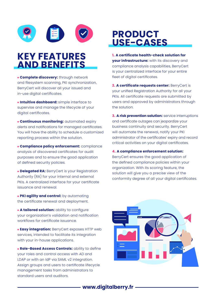

### **KEY FEATURES AND BENEFITS**

**Complete discovery:** through network and filesystem scanning, PKI synchronization, BerryCert will discover all your issued and in-use digital certificates.

**Intuitive dashboard:** simple interface to supervise and manage the lifecycle of your digital certificates.

**Continuous monitoring:** automated expiry alerts and notifications for managed certificates. You will have the ability to schedule a customized reporting process within the solution.

**Compliance policy enforcement:** compliance analysis of discovered certificates for audit purposes and to ensure the good application of defined security policies.

**Delegated RA: BerryCert is your Registration** Authority (RA) for your internal and external PKIs. A centralized interface for your certificate issuance and renewal.

**PKI agility and control:** by automating the certificate renewal and deployment.

**A tailored solution:** ability to configure your organization's validation and notification workflows for certificate issuance.

**Easy integration:** BerryCert exposes HTTP web services, intended to facilitate its integration with your in-house applications.

**. Role-Based Access Controls: ability to define** your roles and control access with AD and LDAP or with an IdP via SAML v2 integration. Assign groups and users to certificate lifecycle management tasks from administrators to standard users and auditors.

### **PRODUCT USE-CASES**

**1. A certificate health-check solution for your infrastructure:** with its discovery and compliance analysis capabilities, BerryCert is your centralized interface for your entire fleet of digital certificates.

**2. A certificate requests center:** BerryCert is your unified Registration Authority for all your PKIs. All certificate requests are submitted by users and approved by administrators through the solution.

**3. A risk prevention solution:** service interruptions and certificate outages can jeopardize your business continuity and security. BerryCert will automate the renewal, notify your PKI administrator of the certificates' expiry and record critical activities on your digital certificates.

**4. A compliance enforcement solution:** BerryCert ensures the good application of the defined compliance policies within your organization. With its scoring feature, the solution will give you a precise view of the conformity degree of all your digital certificates.